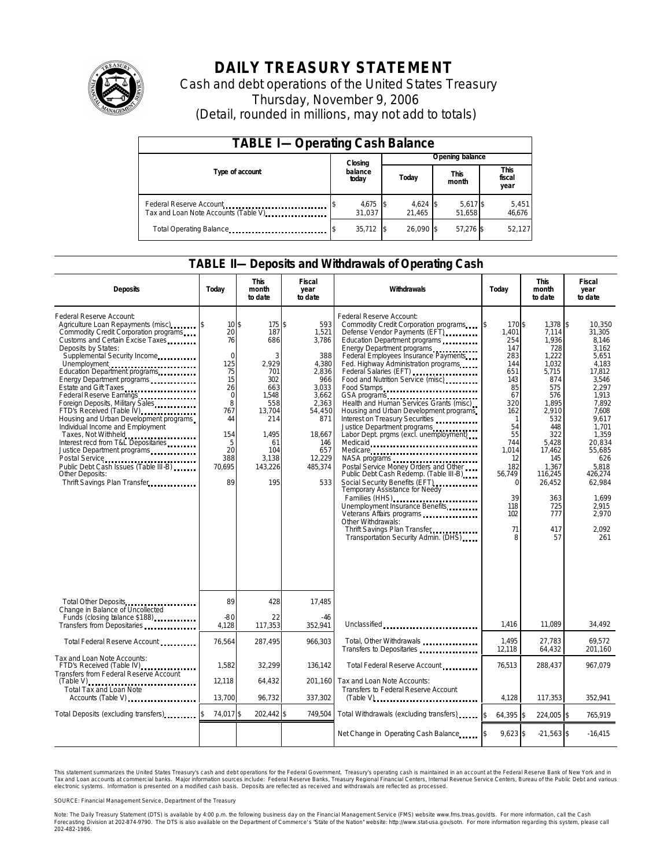

# **DAILY TREASURY STATEMENT**

Cash and debt operations of the United States Treasury Thursday, November 9, 2006 (Detail, rounded in millions, may not add to totals)

| <b>TABLE I-Operating Cash Balance</b> |                  |                      |       |                      |                      |                    |  |                        |  |
|---------------------------------------|------------------|----------------------|-------|----------------------|----------------------|--------------------|--|------------------------|--|
|                                       |                  | Closing              |       | Opening balance      |                      |                    |  |                        |  |
| Type of account                       | balance<br>today |                      | Today |                      | <b>This</b><br>month |                    |  | This<br>fiscal<br>year |  |
| Tax and Loan Note Accounts (Table V). |                  | $4,675$ \$<br>31.037 |       | $4,624$ \$<br>21.465 |                      | 5,617 \$<br>51.658 |  | 5,451<br>46,676        |  |
| Total Operating Balance               |                  | $35,712$ \$          |       | 26.090 \$            |                      | 57.276 \$          |  | 52,127                 |  |

### **TABLE II—Deposits and Withdrawals of Operating Cash**

| <b>Deposits</b>                                                                                                                                                                                                                                                                                                                                                                                                                                                                                                                                                                                                                                                                           | Today                                                                                                                                         | <b>This</b><br>month<br>to date                                                                                                           | <b>Fiscal</b><br>year<br>to date                                                                                                                      | Withdrawals                                                                                                                                                                                                                                                                                                                                                                                                                                                                                                                                                                                                                                                                                                                                                                                                                                                                                                                      | Today                                                                                                                                                                                                   | <b>This</b><br>month<br>to date                                                                                                                                                                                 | <b>Fiscal</b><br>year<br>to date                                                                                                                                                                                                                  |
|-------------------------------------------------------------------------------------------------------------------------------------------------------------------------------------------------------------------------------------------------------------------------------------------------------------------------------------------------------------------------------------------------------------------------------------------------------------------------------------------------------------------------------------------------------------------------------------------------------------------------------------------------------------------------------------------|-----------------------------------------------------------------------------------------------------------------------------------------------|-------------------------------------------------------------------------------------------------------------------------------------------|-------------------------------------------------------------------------------------------------------------------------------------------------------|----------------------------------------------------------------------------------------------------------------------------------------------------------------------------------------------------------------------------------------------------------------------------------------------------------------------------------------------------------------------------------------------------------------------------------------------------------------------------------------------------------------------------------------------------------------------------------------------------------------------------------------------------------------------------------------------------------------------------------------------------------------------------------------------------------------------------------------------------------------------------------------------------------------------------------|---------------------------------------------------------------------------------------------------------------------------------------------------------------------------------------------------------|-----------------------------------------------------------------------------------------------------------------------------------------------------------------------------------------------------------------|---------------------------------------------------------------------------------------------------------------------------------------------------------------------------------------------------------------------------------------------------|
| Federal Reserve Account:<br>Agriculture Loan Repayments (misc) [\$<br>Commodity Credit Corporation programs<br>Customs and Certain Excise Taxes<br>Deposits by States:<br>Supplemental Security Income<br>Unemployment<br>Education Department programs<br>Energy Department programs<br>Estate and Gift Taxes<br>Federal Reserve Earnings<br>Foreign Deposits, Military Sales<br>FTD's Received (Table IV)<br>Housing and Urban Development programs<br>Individual Income and Employment<br>Taxes, Not Withheld<br>Interest recd from T&L Depositaries<br>Justice Department programs<br>Public Debt Cash Issues (Table III-B)<br><b>Other Deposits:</b><br>Thrift Savings Plan Transfer | 10 <sub>5</sub><br>20<br>76<br>$\mathbf 0$<br>125<br>75<br>15<br>26<br>$\mathbf 0$<br>8<br>767<br>44<br>154<br>5<br>20<br>388<br>70,695<br>89 | 175 \$<br>187<br>686<br>3<br>2,929<br>701<br>302<br>663<br>1.548<br>558<br>13.704<br>214<br>1.495<br>61<br>104<br>3.138<br>143,226<br>195 | 593<br>1,521<br>3.786<br>388<br>4,380<br>2,836<br>966<br>3.033<br>3.662<br>2.363<br>54,450<br>871<br>18,667<br>146<br>657<br>12,229<br>485,374<br>533 | Federal Reserve Account:<br>Commodity Credit Corporation programs<br>Defense Vendor Payments (EFT)<br>Education Department programs<br>Energy Department programs<br>Federal Employees Insurance Payments<br>Fed. Highway Administration programs<br>Federal Salaries (EFT)<br>Food and Nutrition Service (misc)<br>Food Stamps<br>GSA programs<br>Health and Human Services Grants (misc)<br>Housing and Urban Development programs<br>Interest on Treasury Securities<br>Justice Department programs<br>Labor Dept. prgms (excl. unemployment)<br>Medicaid<br>Medicare<br>NASA programs<br>Postal Service Money Orders and Other<br>Public Debt Cash Redemp. (Table III-B)<br>Social Security Benefits (EFT)<br>Temporary Assistance for Needy<br>Families (HHS)<br>Unemployment Insurance Benefits<br>Veterans Affairs programs<br>Other Withdrawals:<br>Thrift Savings Plan Transfer<br>Transportation Security Admin. (DHS) | 170 \$<br>ß.<br>1.401<br>254<br>147<br>283<br>144<br>651<br>143<br>85<br>67<br>320<br>162<br>$\mathbf{1}$<br>54<br>55<br>744<br>1.014<br>12<br>182<br>56.749<br>$\Omega$<br>39<br>118<br>102<br>71<br>8 | 1.378<br>7.114<br>1.936<br>728<br>1,222<br>1.032<br>5,715<br>874<br>575<br>576<br>1.895<br>2.910<br>532<br>448<br>322<br>5,428<br>17,462<br>145<br>1,367<br>116,245<br>26,452<br>363<br>725<br>777<br>417<br>57 | 1\$<br>10.350<br>31.305<br>8.146<br>3.162<br>5,651<br>4.183<br>17,812<br>3.546<br>2.297<br>1.913<br>7.892<br>7.608<br>9.617<br>1.701<br>1,359<br>20,834<br>55.685<br>626<br>5.818<br>426.274<br>62,984<br>1.699<br>2.915<br>2,970<br>2.092<br>261 |
| Total Other Deposits<br>Change in Balance of Uncollected                                                                                                                                                                                                                                                                                                                                                                                                                                                                                                                                                                                                                                  | 89                                                                                                                                            | 428                                                                                                                                       | 17,485                                                                                                                                                |                                                                                                                                                                                                                                                                                                                                                                                                                                                                                                                                                                                                                                                                                                                                                                                                                                                                                                                                  |                                                                                                                                                                                                         |                                                                                                                                                                                                                 |                                                                                                                                                                                                                                                   |
| Funds (closing balance \$188)<br>Transfers from Depositaries <b>Transfers</b>                                                                                                                                                                                                                                                                                                                                                                                                                                                                                                                                                                                                             | $-80$<br>4,128                                                                                                                                | 22<br>117,353                                                                                                                             | $-46$<br>352,941                                                                                                                                      | Unclassified                                                                                                                                                                                                                                                                                                                                                                                                                                                                                                                                                                                                                                                                                                                                                                                                                                                                                                                     | 1.416                                                                                                                                                                                                   | 11.089                                                                                                                                                                                                          | 34,492                                                                                                                                                                                                                                            |
| Total Federal Reserve Account                                                                                                                                                                                                                                                                                                                                                                                                                                                                                                                                                                                                                                                             | 76,564                                                                                                                                        | 287,495                                                                                                                                   | 966,303                                                                                                                                               | Total, Other Withdrawals<br>Transfers to Depositaries                                                                                                                                                                                                                                                                                                                                                                                                                                                                                                                                                                                                                                                                                                                                                                                                                                                                            | 1,495<br>12,118                                                                                                                                                                                         | 27,783<br>64,432                                                                                                                                                                                                | 69,572<br>201,160                                                                                                                                                                                                                                 |
| Tax and Loan Note Accounts:<br>FTD's Received (Table IV)<br>Transfers from Federal Reserve Account                                                                                                                                                                                                                                                                                                                                                                                                                                                                                                                                                                                        | 1,582<br>12.118                                                                                                                               | 32,299                                                                                                                                    | 136.142                                                                                                                                               | Total Federal Reserve Account<br>Tax and Loan Note Accounts:                                                                                                                                                                                                                                                                                                                                                                                                                                                                                                                                                                                                                                                                                                                                                                                                                                                                     | 76,513                                                                                                                                                                                                  | 288,437                                                                                                                                                                                                         | 967.079                                                                                                                                                                                                                                           |
| $(Table V)$<br><br>Total Tax and Loan Note<br>Accounts (Table V)                                                                                                                                                                                                                                                                                                                                                                                                                                                                                                                                                                                                                          | 13,700                                                                                                                                        | 64.432<br>96,732                                                                                                                          | 201.160<br>337,302                                                                                                                                    | Transfers to Federal Reserve Account<br>$(Table V)$ , $\ldots$ , $\ldots$ , $\ldots$ , $\ldots$ , $\ldots$ , $\ldots$ , $\ldots$ , $\ldots$                                                                                                                                                                                                                                                                                                                                                                                                                                                                                                                                                                                                                                                                                                                                                                                      | 4.128                                                                                                                                                                                                   | 117,353                                                                                                                                                                                                         | 352,941                                                                                                                                                                                                                                           |
| Total Deposits (excluding transfers)                                                                                                                                                                                                                                                                                                                                                                                                                                                                                                                                                                                                                                                      | 74,017 \$                                                                                                                                     | 202,442 \$                                                                                                                                | 749,504                                                                                                                                               | Total Withdrawals (excluding transfers)                                                                                                                                                                                                                                                                                                                                                                                                                                                                                                                                                                                                                                                                                                                                                                                                                                                                                          | 64,395 \$<br><sup>\$</sup>                                                                                                                                                                              | 224,005 \$                                                                                                                                                                                                      | 765,919                                                                                                                                                                                                                                           |
|                                                                                                                                                                                                                                                                                                                                                                                                                                                                                                                                                                                                                                                                                           |                                                                                                                                               |                                                                                                                                           |                                                                                                                                                       | Net Change in Operating Cash Balance                                                                                                                                                                                                                                                                                                                                                                                                                                                                                                                                                                                                                                                                                                                                                                                                                                                                                             | $9,623$ \$                                                                                                                                                                                              | $-21,563$ \$                                                                                                                                                                                                    | $-16,415$                                                                                                                                                                                                                                         |

This statement summarizes the United States Treasury's cash and debt operations for the Federal Government. Treasury's operating cash is maintained in an account at the Federal Reserve Bank of New York and in Tax and Loan accounts at commercial banks. Major information sources include: Federal Reserve Banks, Treasury Regional Financial Centers, Internal Revenue Service Centers, Bureau of the Public Debt and various<br>electronic s

SOURCE: Financial Management Service, Department of the Treasury

Note: The Daily Treasury Statement (DTS) is available by 4:00 p.m. the following business day on the Financial Management Service (FMS) website www.fms.treas.gov/dts.<br>Forecasting Division at 202-874-9790. The DTS is also a 'S) is available by 4:00 p.m. the following business day on the Financial Management Service (FMS) website www.fms.treas.gov/dts. For more information, call the Cash<br>The DTS is also available on the Department of Commerce'